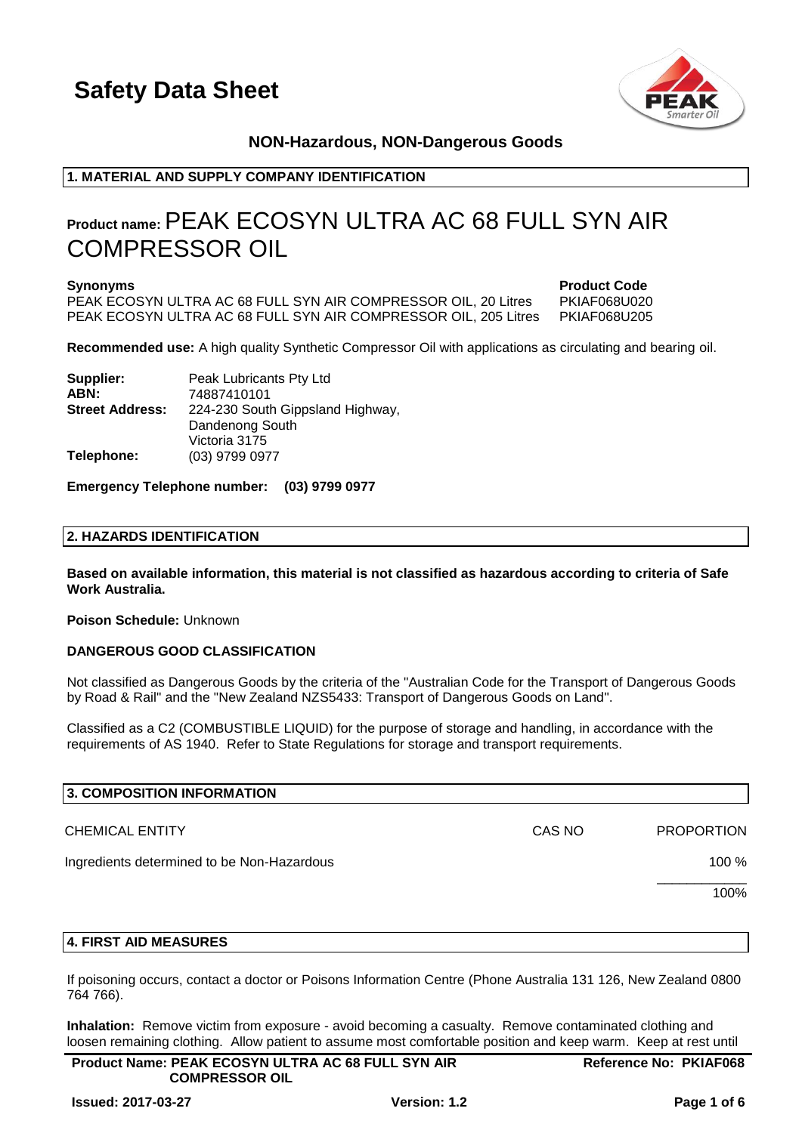

# **NON-Hazardous, NON-Dangerous Goods**

# **1. MATERIAL AND SUPPLY COMPANY IDENTIFICATION**

# **Product name:**PEAK ECOSYN ULTRA AC 68 FULL SYN AIR COMPRESSOR OIL

PEAK ECOSYN ULTRA AC 68 FULL SYN AIR COMPRESSOR OIL, 20 Litres PKIAF068U020 PEAK ECOSYN ULTRA AC 68 FULL SYN AIR COMPRESSOR OIL, 205 Litres PKIAF068U205

**Synonyms Product Code**

**Recommended use:** A high quality Synthetic Compressor Oil with applications as circulating and bearing oil.

| Supplier:              | Peak Lubricants Pty Ltd          |
|------------------------|----------------------------------|
| ABN:                   | 74887410101                      |
| <b>Street Address:</b> | 224-230 South Gippsland Highway, |
|                        | Dandenong South                  |
|                        | Victoria 3175                    |
| Telephone:             | (03) 9799 0977                   |

### **Emergency Telephone number: (03) 9799 0977**

### **2. HAZARDS IDENTIFICATION**

**Based on available information, this material is not classified as hazardous according to criteria of Safe Work Australia.**

### **Poison Schedule:** Unknown

### **DANGEROUS GOOD CLASSIFICATION**

Not classified as Dangerous Goods by the criteria of the "Australian Code for the Transport of Dangerous Goods by Road & Rail" and the "New Zealand NZS5433: Transport of Dangerous Goods on Land".

Classified as a C2 (COMBUSTIBLE LIQUID) for the purpose of storage and handling, in accordance with the requirements of AS 1940. Refer to State Regulations for storage and transport requirements.

| 3. COMPOSITION INFORMATION                 |        |                   |
|--------------------------------------------|--------|-------------------|
| <b>CHEMICAL ENTITY</b>                     | CAS NO | <b>PROPORTION</b> |
| Ingredients determined to be Non-Hazardous |        | 100 %             |
|                                            |        | 100%              |
|                                            |        |                   |

### **4. FIRST AID MEASURES**

If poisoning occurs, contact a doctor or Poisons Information Centre (Phone Australia 131 126, New Zealand 0800 764 766).

**Inhalation:** Remove victim from exposure - avoid becoming a casualty. Remove contaminated clothing and loosen remaining clothing. Allow patient to assume most comfortable position and keep warm. Keep at rest until

| <b>Product Name: PEAK ECOSYN ULTRA AC 68 FULL SYN AIR</b> | <b>Reference No: PKIAF068</b> |
|-----------------------------------------------------------|-------------------------------|
| <b>COMPRESSOR OIL</b>                                     |                               |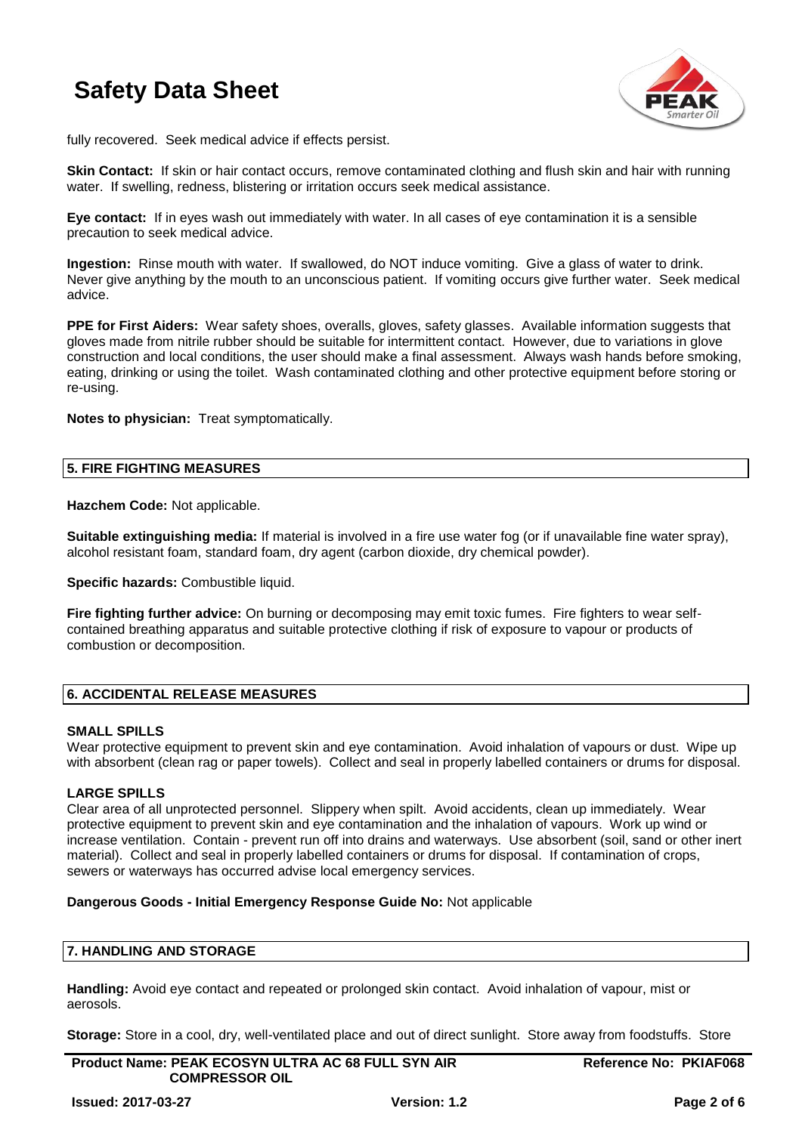

fully recovered. Seek medical advice if effects persist.

**Skin Contact:** If skin or hair contact occurs, remove contaminated clothing and flush skin and hair with running water. If swelling, redness, blistering or irritation occurs seek medical assistance.

**Eye contact:** If in eyes wash out immediately with water. In all cases of eye contamination it is a sensible precaution to seek medical advice.

**Ingestion:** Rinse mouth with water. If swallowed, do NOT induce vomiting. Give a glass of water to drink. Never give anything by the mouth to an unconscious patient. If vomiting occurs give further water. Seek medical advice.

**PPE for First Aiders:** Wear safety shoes, overalls, gloves, safety glasses. Available information suggests that gloves made from nitrile rubber should be suitable for intermittent contact. However, due to variations in glove construction and local conditions, the user should make a final assessment. Always wash hands before smoking, eating, drinking or using the toilet. Wash contaminated clothing and other protective equipment before storing or re-using.

**Notes to physician:** Treat symptomatically.

### **5. FIRE FIGHTING MEASURES**

**Hazchem Code:** Not applicable.

**Suitable extinguishing media:** If material is involved in a fire use water fog (or if unavailable fine water spray), alcohol resistant foam, standard foam, dry agent (carbon dioxide, dry chemical powder).

**Specific hazards:** Combustible liquid.

**Fire fighting further advice:** On burning or decomposing may emit toxic fumes. Fire fighters to wear selfcontained breathing apparatus and suitable protective clothing if risk of exposure to vapour or products of combustion or decomposition.

# **6. ACCIDENTAL RELEASE MEASURES**

### **SMALL SPILLS**

Wear protective equipment to prevent skin and eye contamination. Avoid inhalation of vapours or dust. Wipe up with absorbent (clean rag or paper towels). Collect and seal in properly labelled containers or drums for disposal.

### **LARGE SPILLS**

Clear area of all unprotected personnel. Slippery when spilt. Avoid accidents, clean up immediately. Wear protective equipment to prevent skin and eye contamination and the inhalation of vapours. Work up wind or increase ventilation. Contain - prevent run off into drains and waterways. Use absorbent (soil, sand or other inert material). Collect and seal in properly labelled containers or drums for disposal. If contamination of crops, sewers or waterways has occurred advise local emergency services.

### **Dangerous Goods - Initial Emergency Response Guide No:** Not applicable

# **7. HANDLING AND STORAGE**

**Handling:** Avoid eye contact and repeated or prolonged skin contact. Avoid inhalation of vapour, mist or aerosols.

**Storage:** Store in a cool, dry, well-ventilated place and out of direct sunlight. Store away from foodstuffs. Store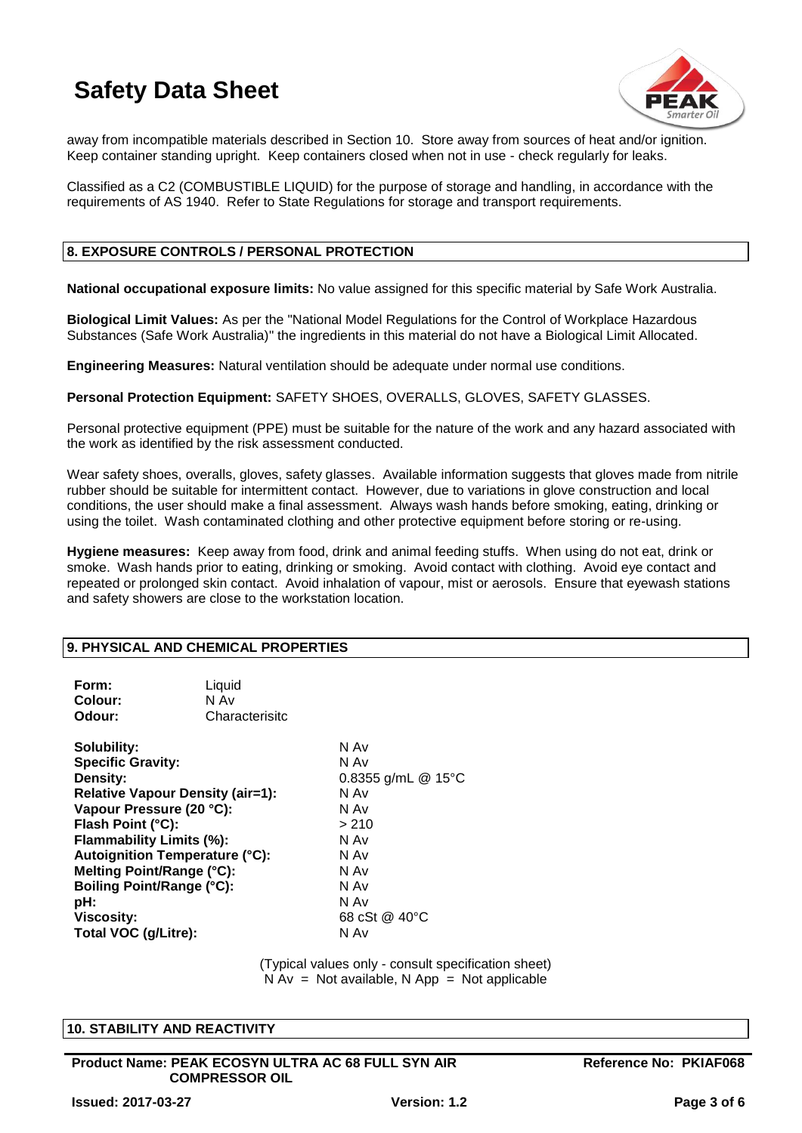

away from incompatible materials described in Section 10. Store away from sources of heat and/or ignition. Keep container standing upright. Keep containers closed when not in use - check regularly for leaks.

Classified as a C2 (COMBUSTIBLE LIQUID) for the purpose of storage and handling, in accordance with the requirements of AS 1940. Refer to State Regulations for storage and transport requirements.

# **8. EXPOSURE CONTROLS / PERSONAL PROTECTION**

**National occupational exposure limits:** No value assigned for this specific material by Safe Work Australia.

**Biological Limit Values:** As per the "National Model Regulations for the Control of Workplace Hazardous Substances (Safe Work Australia)" the ingredients in this material do not have a Biological Limit Allocated.

**Engineering Measures:** Natural ventilation should be adequate under normal use conditions.

**Personal Protection Equipment:** SAFETY SHOES, OVERALLS, GLOVES, SAFETY GLASSES.

Personal protective equipment (PPE) must be suitable for the nature of the work and any hazard associated with the work as identified by the risk assessment conducted.

Wear safety shoes, overalls, gloves, safety glasses. Available information suggests that gloves made from nitrile rubber should be suitable for intermittent contact. However, due to variations in glove construction and local conditions, the user should make a final assessment. Always wash hands before smoking, eating, drinking or using the toilet. Wash contaminated clothing and other protective equipment before storing or re-using.

**Hygiene measures:** Keep away from food, drink and animal feeding stuffs. When using do not eat, drink or smoke. Wash hands prior to eating, drinking or smoking. Avoid contact with clothing. Avoid eye contact and repeated or prolonged skin contact. Avoid inhalation of vapour, mist or aerosols. Ensure that eyewash stations and safety showers are close to the workstation location.

# **9. PHYSICAL AND CHEMICAL PROPERTIES**

| Form:<br>Colour:<br>Odour:                                                                                                                                                                                                                                                                                                                | Liquid<br>N Av<br>Characterisitc |                                                                                                                               |
|-------------------------------------------------------------------------------------------------------------------------------------------------------------------------------------------------------------------------------------------------------------------------------------------------------------------------------------------|----------------------------------|-------------------------------------------------------------------------------------------------------------------------------|
| Solubility:<br><b>Specific Gravity:</b><br>Density:<br><b>Relative Vapour Density (air=1):</b><br>Vapour Pressure (20 °C):<br>Flash Point (°C):<br>Flammability Limits (%):<br><b>Autoignition Temperature (°C):</b><br>Melting Point/Range (°C):<br><b>Boiling Point/Range (°C):</b><br>pH:<br><b>Viscosity:</b><br>Total VOC (g/Litre): |                                  | N Av<br>N Av<br>0.8355 g/mL @ 15°C<br>N Av<br>N Av<br>> 210<br>N Av<br>N Av<br>N Av<br>N Av<br>N Av<br>68 cSt @ 40 °C<br>N Av |

(Typical values only - consult specification sheet)  $N Av = Not available, N App = Not applicable$ 

### **10. STABILITY AND REACTIVITY**

**Product Name: PEAK ECOSYN ULTRA AC 68 FULL SYN AIR COMPRESSOR OIL**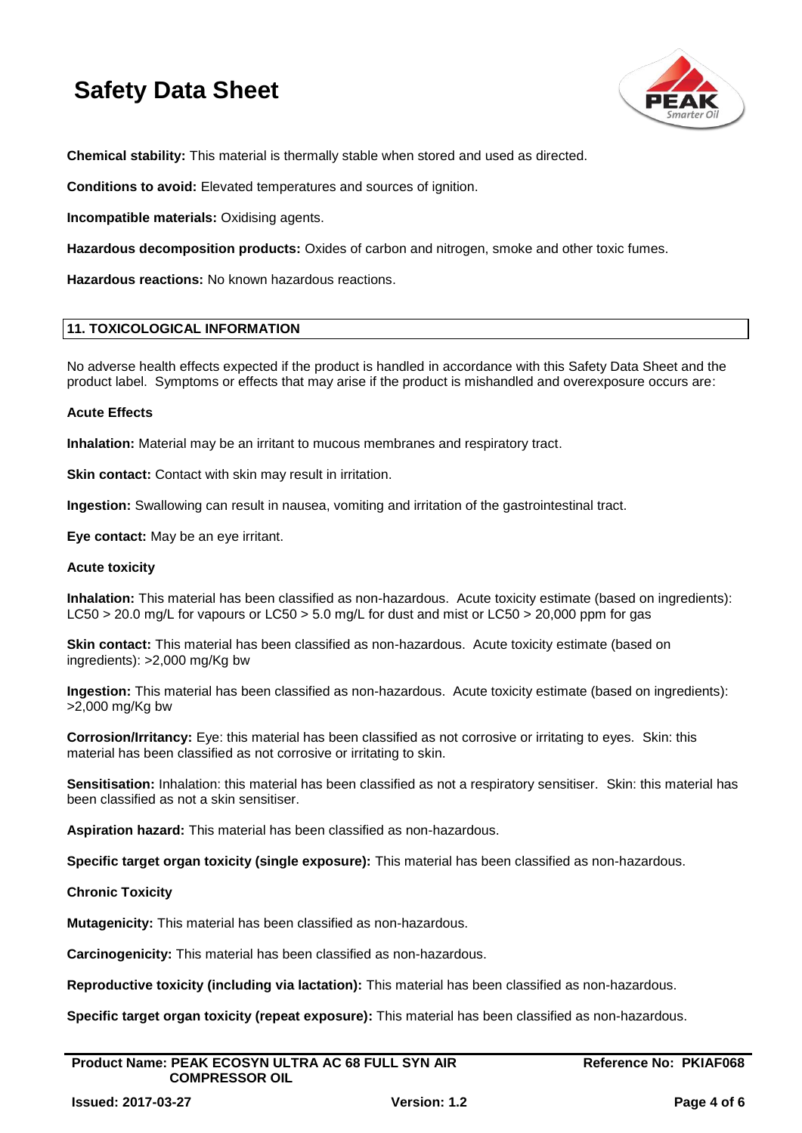

**Chemical stability:** This material is thermally stable when stored and used as directed.

**Conditions to avoid:** Elevated temperatures and sources of ignition.

**Incompatible materials:** Oxidising agents.

**Hazardous decomposition products:** Oxides of carbon and nitrogen, smoke and other toxic fumes.

**Hazardous reactions:** No known hazardous reactions.

### **11. TOXICOLOGICAL INFORMATION**

No adverse health effects expected if the product is handled in accordance with this Safety Data Sheet and the product label. Symptoms or effects that may arise if the product is mishandled and overexposure occurs are:

### **Acute Effects**

**Inhalation:** Material may be an irritant to mucous membranes and respiratory tract.

**Skin contact:** Contact with skin may result in irritation.

**Ingestion:** Swallowing can result in nausea, vomiting and irritation of the gastrointestinal tract.

**Eye contact:** May be an eye irritant.

### **Acute toxicity**

**Inhalation:** This material has been classified as non-hazardous. Acute toxicity estimate (based on ingredients): LC50 > 20.0 mg/L for vapours or LC50 > 5.0 mg/L for dust and mist or LC50 > 20,000 ppm for gas

**Skin contact:** This material has been classified as non-hazardous. Acute toxicity estimate (based on ingredients): >2,000 mg/Kg bw

**Ingestion:** This material has been classified as non-hazardous. Acute toxicity estimate (based on ingredients): >2,000 mg/Kg bw

**Corrosion/Irritancy:** Eye: this material has been classified as not corrosive or irritating to eyes. Skin: this material has been classified as not corrosive or irritating to skin.

**Sensitisation:** Inhalation: this material has been classified as not a respiratory sensitiser. Skin: this material has been classified as not a skin sensitiser.

**Aspiration hazard:** This material has been classified as non-hazardous.

**Specific target organ toxicity (single exposure):** This material has been classified as non-hazardous.

### **Chronic Toxicity**

**Mutagenicity:** This material has been classified as non-hazardous.

**Carcinogenicity:** This material has been classified as non-hazardous.

**Reproductive toxicity (including via lactation):** This material has been classified as non-hazardous.

**Specific target organ toxicity (repeat exposure):** This material has been classified as non-hazardous.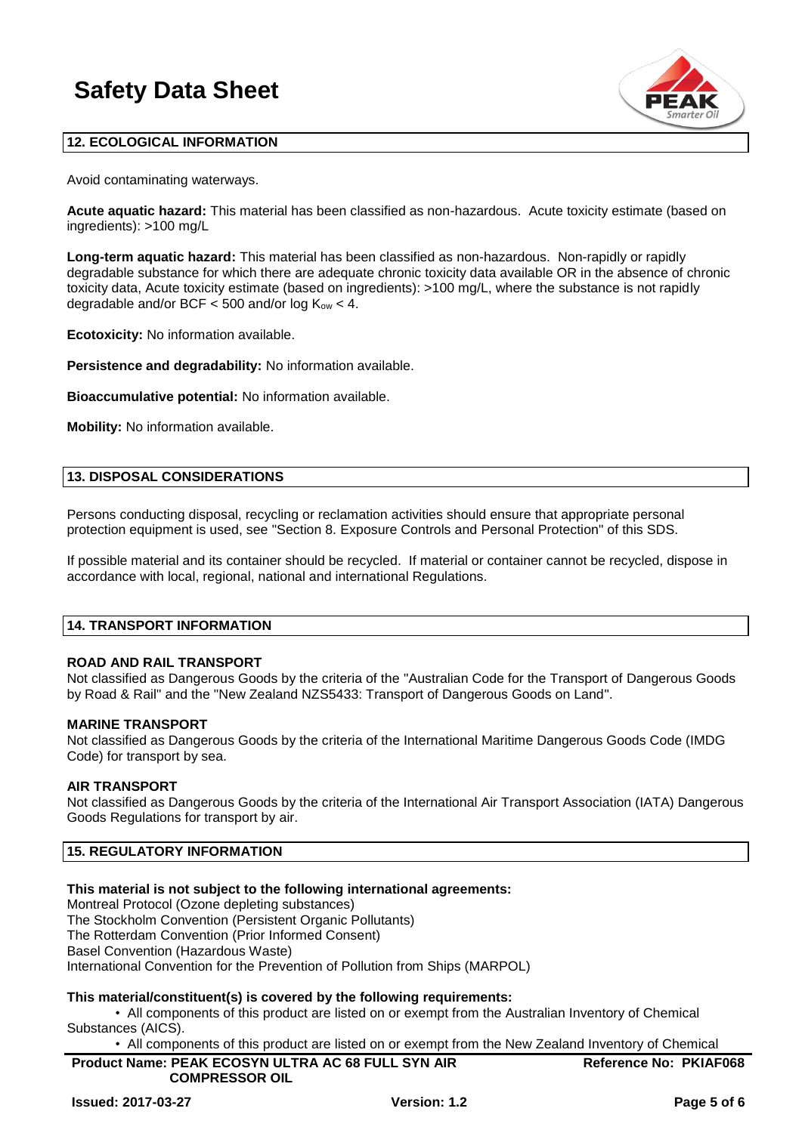

# **12. ECOLOGICAL INFORMATION**

Avoid contaminating waterways.

**Acute aquatic hazard:** This material has been classified as non-hazardous. Acute toxicity estimate (based on ingredients): >100 mg/L

**Long-term aquatic hazard:** This material has been classified as non-hazardous. Non-rapidly or rapidly degradable substance for which there are adequate chronic toxicity data available OR in the absence of chronic toxicity data, Acute toxicity estimate (based on ingredients): >100 mg/L, where the substance is not rapidly degradable and/or BCF  $<$  500 and/or log  $K_{ow}$   $<$  4.

**Ecotoxicity:** No information available.

**Persistence and degradability:** No information available.

**Bioaccumulative potential:** No information available.

**Mobility:** No information available.

### **13. DISPOSAL CONSIDERATIONS**

Persons conducting disposal, recycling or reclamation activities should ensure that appropriate personal protection equipment is used, see "Section 8. Exposure Controls and Personal Protection" of this SDS.

If possible material and its container should be recycled. If material or container cannot be recycled, dispose in accordance with local, regional, national and international Regulations.

### **14. TRANSPORT INFORMATION**

# **ROAD AND RAIL TRANSPORT**

Not classified as Dangerous Goods by the criteria of the "Australian Code for the Transport of Dangerous Goods by Road & Rail" and the "New Zealand NZS5433: Transport of Dangerous Goods on Land".

### **MARINE TRANSPORT**

Not classified as Dangerous Goods by the criteria of the International Maritime Dangerous Goods Code (IMDG Code) for transport by sea.

### **AIR TRANSPORT**

Not classified as Dangerous Goods by the criteria of the International Air Transport Association (IATA) Dangerous Goods Regulations for transport by air.

# **15. REGULATORY INFORMATION**

# **This material is not subject to the following international agreements:**

Montreal Protocol (Ozone depleting substances)

The Stockholm Convention (Persistent Organic Pollutants)

The Rotterdam Convention (Prior Informed Consent)

Basel Convention (Hazardous Waste)

International Convention for the Prevention of Pollution from Ships (MARPOL)

# **This material/constituent(s) is covered by the following requirements:**

• All components of this product are listed on or exempt from the Australian Inventory of Chemical Substances (AICS).

• All components of this product are listed on or exempt from the New Zealand Inventory of Chemical

**Product Name: PEAK ECOSYN ULTRA AC 68 FULL SYN AIR COMPRESSOR OIL Reference No: PKIAF068**